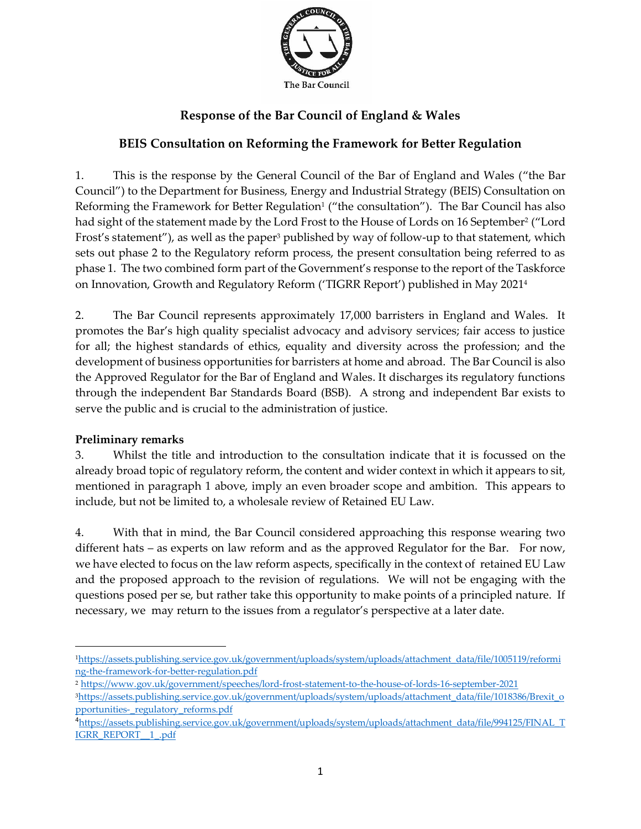

# **Response of the Bar Council of England & Wales**

## **BEIS Consultation on Reforming the Framework for Better Regulation**

1. This is the response by the General Council of the Bar of England and Wales ("the Bar Council") to the Department for Business, Energy and Industrial Strategy (BEIS) Consultation on Reforming the Framework for Better Regulation<sup>1</sup> ("the consultation"). The Bar Council has also had sight of the statement made by the Lord Frost to the House of Lords on 16 September<sup>2</sup> ("Lord Frost's statement"), as well as the paper<sup>3</sup> published by way of follow-up to that statement, which sets out phase 2 to the Regulatory reform process, the present consultation being referred to as phase 1. The two combined form part of the Government's response to the report of the Taskforce on Innovation, Growth and Regulatory Reform ('TIGRR Report') published in May 2021<sup>4</sup>

2. The Bar Council represents approximately 17,000 barristers in England and Wales. It promotes the Bar's high quality specialist advocacy and advisory services; fair access to justice for all; the highest standards of ethics, equality and diversity across the profession; and the development of business opportunities for barristers at home and abroad. The Bar Council is also the Approved Regulator for the Bar of England and Wales. It discharges its regulatory functions through the independent Bar Standards Board (BSB). A strong and independent Bar exists to serve the public and is crucial to the administration of justice.

### **Preliminary remarks**

3. Whilst the title and introduction to the consultation indicate that it is focussed on the already broad topic of regulatory reform, the content and wider context in which it appears to sit, mentioned in paragraph 1 above, imply an even broader scope and ambition. This appears to include, but not be limited to, a wholesale review of Retained EU Law.

4. With that in mind, the Bar Council considered approaching this response wearing two different hats – as experts on law reform and as the approved Regulator for the Bar. For now, we have elected to focus on the law reform aspects, specifically in the context of retained EU Law and the proposed approach to the revision of regulations. We will not be engaging with the questions posed per se, but rather take this opportunity to make points of a principled nature. If necessary, we may return to the issues from a regulator's perspective at a later date.

<sup>1</sup>[https://assets.publishing.service.gov.uk/government/uploads/system/uploads/attachment\\_data/file/1005119/reformi](https://assets.publishing.service.gov.uk/government/uploads/system/uploads/attachment_data/file/1005119/reforming-the-framework-for-better-regulation.pdf) [ng-the-framework-for-better-regulation.pdf](https://assets.publishing.service.gov.uk/government/uploads/system/uploads/attachment_data/file/1005119/reforming-the-framework-for-better-regulation.pdf)

<sup>2</sup> <https://www.gov.uk/government/speeches/lord-frost-statement-to-the-house-of-lords-16-september-2021> 3[https://assets.publishing.service.gov.uk/government/uploads/system/uploads/attachment\\_data/file/1018386/Brexit\\_o](https://assets.publishing.service.gov.uk/government/uploads/system/uploads/attachment_data/file/1018386/Brexit_opportunities-_regulatory_reforms.pdf) [pportunities-\\_regulatory\\_reforms.pdf](https://assets.publishing.service.gov.uk/government/uploads/system/uploads/attachment_data/file/1018386/Brexit_opportunities-_regulatory_reforms.pdf)

<sup>4</sup>[https://assets.publishing.service.gov.uk/government/uploads/system/uploads/attachment\\_data/file/994125/FINAL\\_T](https://assets.publishing.service.gov.uk/government/uploads/system/uploads/attachment_data/file/994125/FINAL_TIGRR_REPORT__1_.pdf) [IGRR\\_REPORT\\_\\_1\\_.pdf](https://assets.publishing.service.gov.uk/government/uploads/system/uploads/attachment_data/file/994125/FINAL_TIGRR_REPORT__1_.pdf)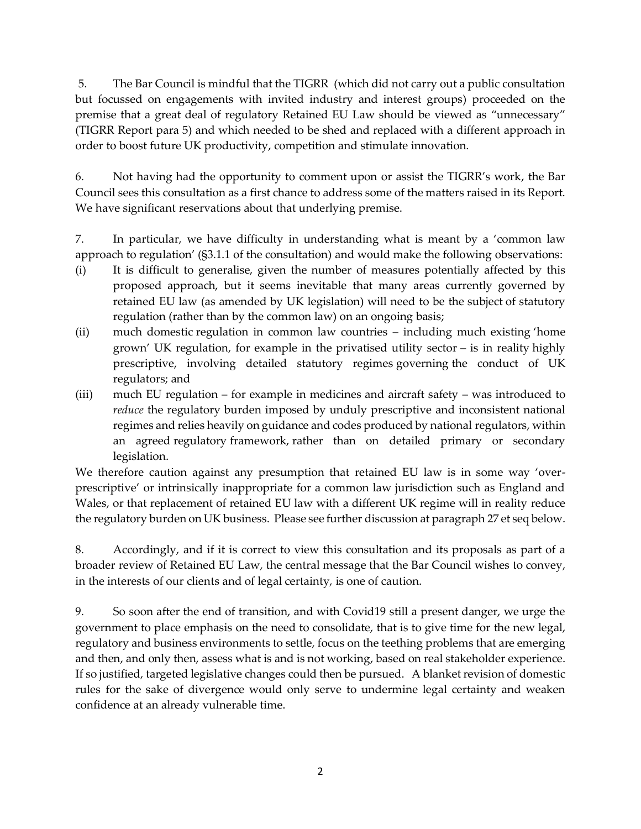5. The Bar Council is mindful that the TIGRR (which did not carry out a public consultation but focussed on engagements with invited industry and interest groups) proceeded on the premise that a great deal of regulatory Retained EU Law should be viewed as "unnecessary" (TIGRR Report para 5) and which needed to be shed and replaced with a different approach in order to boost future UK productivity, competition and stimulate innovation.

6. Not having had the opportunity to comment upon or assist the TIGRR's work, the Bar Council sees this consultation as a first chance to address some of the matters raised in its Report. We have significant reservations about that underlying premise.

7. In particular, we have difficulty in understanding what is meant by a 'common law approach to regulation' (§3.1.1 of the consultation) and would make the following observations:

- (i) It is difficult to generalise, given the number of measures potentially affected by this proposed approach, but it seems inevitable that many areas currently governed by retained EU law (as amended by UK legislation) will need to be the subject of statutory regulation (rather than by the common law) on an ongoing basis;
- (ii) much domestic regulation in common law countries including much existing 'home grown' UK regulation, for example in the privatised utility sector – is in reality highly prescriptive, involving detailed statutory regimes governing the conduct of UK regulators; and
- (iii) much EU regulation for example in medicines and aircraft safety was introduced to *reduce* the regulatory burden imposed by unduly prescriptive and inconsistent national regimes and relies heavily on guidance and codes produced by national regulators, within an agreed regulatory framework, rather than on detailed primary or secondary legislation.

We therefore caution against any presumption that retained EU law is in some way 'overprescriptive' or intrinsically inappropriate for a common law jurisdiction such as England and Wales, or that replacement of retained EU law with a different UK regime will in reality reduce the regulatory burden on UK business. Please see further discussion at paragraph 27 et seq below.

8. Accordingly, and if it is correct to view this consultation and its proposals as part of a broader review of Retained EU Law, the central message that the Bar Council wishes to convey, in the interests of our clients and of legal certainty, is one of caution.

9. So soon after the end of transition, and with Covid19 still a present danger, we urge the government to place emphasis on the need to consolidate, that is to give time for the new legal, regulatory and business environments to settle, focus on the teething problems that are emerging and then, and only then, assess what is and is not working, based on real stakeholder experience. If so justified, targeted legislative changes could then be pursued. A blanket revision of domestic rules for the sake of divergence would only serve to undermine legal certainty and weaken confidence at an already vulnerable time.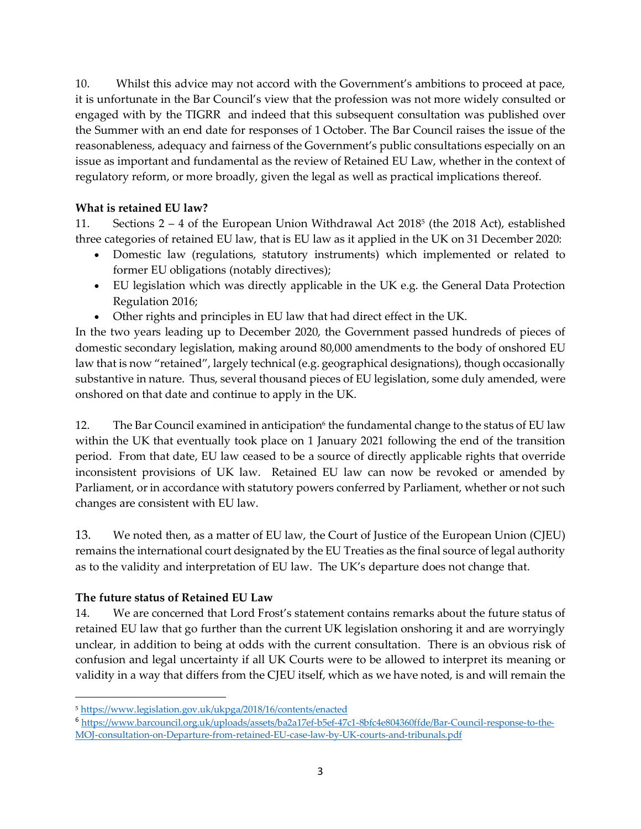10. Whilst this advice may not accord with the Government's ambitions to proceed at pace, it is unfortunate in the Bar Council's view that the profession was not more widely consulted or engaged with by the TIGRR and indeed that this subsequent consultation was published over the Summer with an end date for responses of 1 October. The Bar Council raises the issue of the reasonableness, adequacy and fairness of the Government's public consultations especially on an issue as important and fundamental as the review of Retained EU Law, whether in the context of regulatory reform, or more broadly, given the legal as well as practical implications thereof.

### **What is retained EU law?**

11. Sections  $2 - 4$  of the European Union Withdrawal Act  $2018<sup>5</sup>$  (the  $2018$  Act), established three categories of retained EU law, that is EU law as it applied in the UK on 31 December 2020:

- Domestic law (regulations, statutory instruments) which implemented or related to former EU obligations (notably directives);
- EU legislation which was directly applicable in the UK e.g. the General Data Protection Regulation 2016;
- Other rights and principles in EU law that had direct effect in the UK.

In the two years leading up to December 2020, the Government passed hundreds of pieces of domestic secondary legislation, making around 80,000 amendments to the body of onshored EU law that is now "retained", largely technical (e.g. geographical designations), though occasionally substantive in nature. Thus, several thousand pieces of EU legislation, some duly amended, were onshored on that date and continue to apply in the UK.

12. The Bar Council examined in anticipation<sup>6</sup> the fundamental change to the status of EU law within the UK that eventually took place on 1 January 2021 following the end of the transition period. From that date, EU law ceased to be a source of directly applicable rights that override inconsistent provisions of UK law. Retained EU law can now be revoked or amended by Parliament, or in accordance with statutory powers conferred by Parliament, whether or not such changes are consistent with EU law.

13. We noted then, as a matter of EU law, the Court of Justice of the European Union (CJEU) remains the international court designated by the EU Treaties as the final source of legal authority as to the validity and interpretation of EU law. The UK's departure does not change that.

### **The future status of Retained EU Law**

14. We are concerned that Lord Frost's statement contains remarks about the future status of retained EU law that go further than the current UK legislation onshoring it and are worryingly unclear, in addition to being at odds with the current consultation. There is an obvious risk of confusion and legal uncertainty if all UK Courts were to be allowed to interpret its meaning or validity in a way that differs from the CJEU itself, which as we have noted, is and will remain the

<sup>5</sup> <https://www.legislation.gov.uk/ukpga/2018/16/contents/enacted>

<sup>6</sup> [https://www.barcouncil.org.uk/uploads/assets/ba2a17ef-b5ef-47c1-8bfc4e804360ffde/Bar-Council-response-to-the-](https://www.barcouncil.org.uk/uploads/assets/ba2a17ef-b5ef-47c1-8bfc4e804360ffde/Bar-Council-response-to-the-MOJ-consultation-on-Departure-from-retained-EU-case-law-by-UK-courts-and-tribunals.pdf)[MOJ-consultation-on-Departure-from-retained-EU-case-law-by-UK-courts-and-tribunals.pdf](https://www.barcouncil.org.uk/uploads/assets/ba2a17ef-b5ef-47c1-8bfc4e804360ffde/Bar-Council-response-to-the-MOJ-consultation-on-Departure-from-retained-EU-case-law-by-UK-courts-and-tribunals.pdf)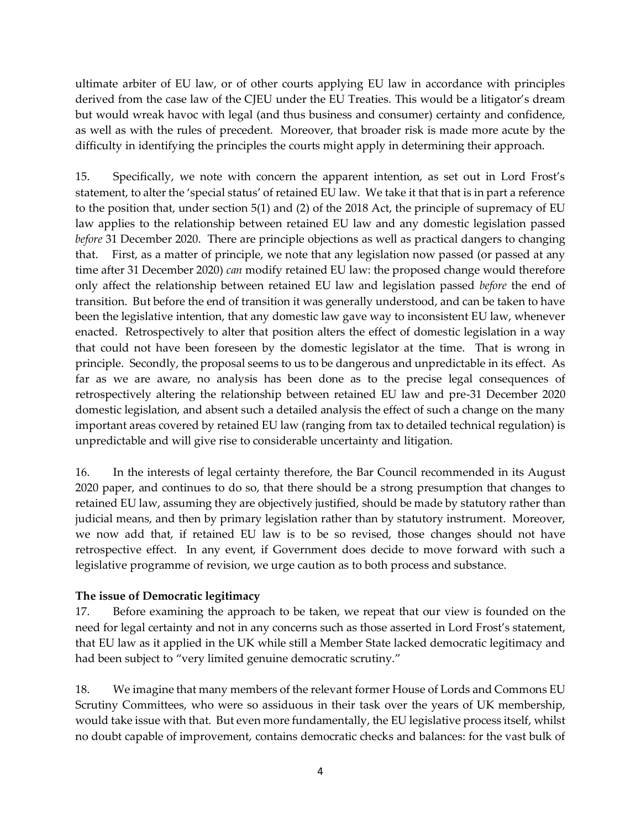ultimate arbiter of EU law, or of other courts applying EU law in accordance with principles derived from the case law of the CJEU under the EU Treaties. This would be a litigator's dream but would wreak havoc with legal (and thus business and consumer) certainty and confidence, as well as with the rules of precedent. Moreover, that broader risk is made more acute by the difficulty in identifying the principles the courts might apply in determining their approach.

15. Specifically, we note with concern the apparent intention, as set out in Lord Frost's statement, to alter the 'special status' of retained EU law. We take it that that is in part a reference to the position that, under section 5(1) and (2) of the 2018 Act, the principle of supremacy of EU law applies to the relationship between retained EU law and any domestic legislation passed *before* 31 December 2020. There are principle objections as well as practical dangers to changing that. First, as a matter of principle, we note that any legislation now passed (or passed at any time after 31 December 2020) *can* modify retained EU law: the proposed change would therefore only affect the relationship between retained EU law and legislation passed *before* the end of transition. But before the end of transition it was generally understood, and can be taken to have been the legislative intention, that any domestic law gave way to inconsistent EU law, whenever enacted. Retrospectively to alter that position alters the effect of domestic legislation in a way that could not have been foreseen by the domestic legislator at the time. That is wrong in principle. Secondly, the proposal seems to us to be dangerous and unpredictable in its effect. As far as we are aware, no analysis has been done as to the precise legal consequences of retrospectively altering the relationship between retained EU law and pre-31 December 2020 domestic legislation, and absent such a detailed analysis the effect of such a change on the many important areas covered by retained EU law (ranging from tax to detailed technical regulation) is unpredictable and will give rise to considerable uncertainty and litigation.

16. In the interests of legal certainty therefore, the Bar Council recommended in its August 2020 paper, and continues to do so, that there should be a strong presumption that changes to retained EU law, assuming they are objectively justified, should be made by statutory rather than judicial means, and then by primary legislation rather than by statutory instrument. Moreover, we now add that, if retained EU law is to be so revised, those changes should not have retrospective effect. In any event, if Government does decide to move forward with such a legislative programme of revision, we urge caution as to both process and substance.

### **The issue of Democratic legitimacy**

17. Before examining the approach to be taken, we repeat that our view is founded on the need for legal certainty and not in any concerns such as those asserted in Lord Frost's statement, that EU law as it applied in the UK while still a Member State lacked democratic legitimacy and had been subject to "very limited genuine democratic scrutiny."

18. We imagine that many members of the relevant former House of Lords and Commons EU Scrutiny Committees, who were so assiduous in their task over the years of UK membership, would take issue with that. But even more fundamentally, the EU legislative process itself, whilst no doubt capable of improvement, contains democratic checks and balances: for the vast bulk of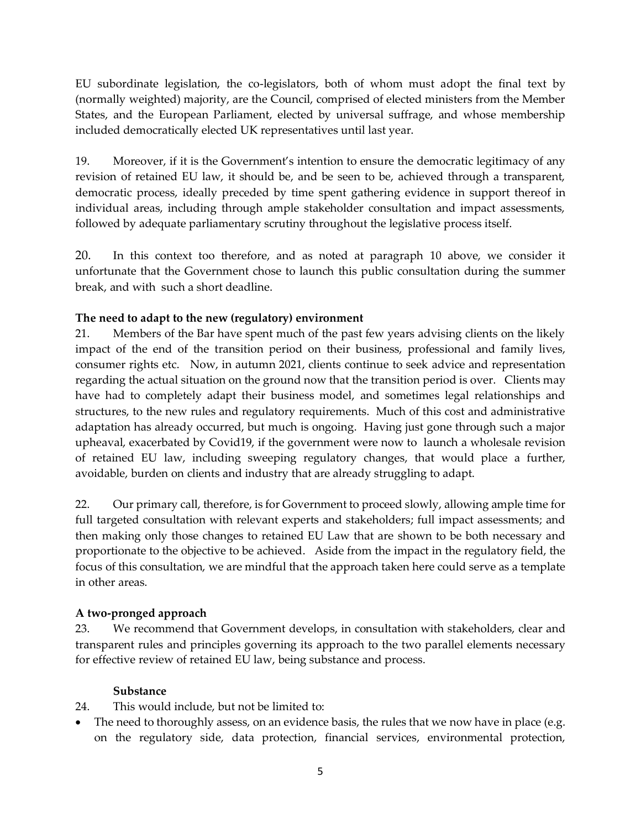EU subordinate legislation, the co-legislators, both of whom must adopt the final text by (normally weighted) majority, are the Council, comprised of elected ministers from the Member States, and the European Parliament, elected by universal suffrage, and whose membership included democratically elected UK representatives until last year.

19. Moreover, if it is the Government's intention to ensure the democratic legitimacy of any revision of retained EU law, it should be, and be seen to be, achieved through a transparent, democratic process, ideally preceded by time spent gathering evidence in support thereof in individual areas, including through ample stakeholder consultation and impact assessments, followed by adequate parliamentary scrutiny throughout the legislative process itself.

20. In this context too therefore, and as noted at paragraph 10 above, we consider it unfortunate that the Government chose to launch this public consultation during the summer break, and with such a short deadline.

## **The need to adapt to the new (regulatory) environment**

21. Members of the Bar have spent much of the past few years advising clients on the likely impact of the end of the transition period on their business, professional and family lives, consumer rights etc. Now, in autumn 2021, clients continue to seek advice and representation regarding the actual situation on the ground now that the transition period is over. Clients may have had to completely adapt their business model, and sometimes legal relationships and structures, to the new rules and regulatory requirements. Much of this cost and administrative adaptation has already occurred, but much is ongoing. Having just gone through such a major upheaval, exacerbated by Covid19, if the government were now to launch a wholesale revision of retained EU law, including sweeping regulatory changes, that would place a further, avoidable, burden on clients and industry that are already struggling to adapt.

22. Our primary call, therefore, is for Government to proceed slowly, allowing ample time for full targeted consultation with relevant experts and stakeholders; full impact assessments; and then making only those changes to retained EU Law that are shown to be both necessary and proportionate to the objective to be achieved. Aside from the impact in the regulatory field, the focus of this consultation, we are mindful that the approach taken here could serve as a template in other areas.

### **A two-pronged approach**

23. We recommend that Government develops, in consultation with stakeholders, clear and transparent rules and principles governing its approach to the two parallel elements necessary for effective review of retained EU law, being substance and process.

#### **Substance**

- 24. This would include, but not be limited to:
- The need to thoroughly assess, on an evidence basis, the rules that we now have in place (e.g. on the regulatory side, data protection, financial services, environmental protection,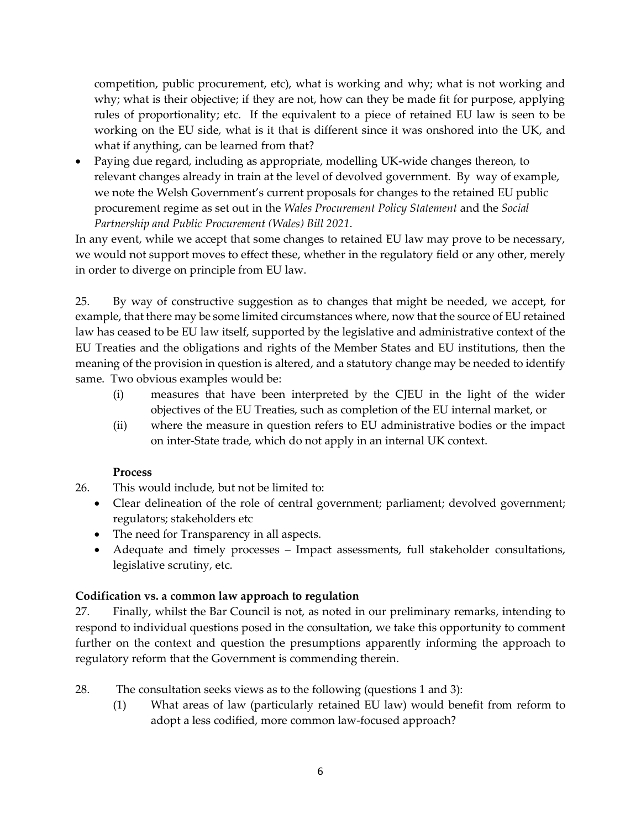competition, public procurement, etc), what is working and why; what is not working and why; what is their objective; if they are not, how can they be made fit for purpose, applying rules of proportionality; etc. If the equivalent to a piece of retained EU law is seen to be working on the EU side, what is it that is different since it was onshored into the UK, and what if anything, can be learned from that?

• Paying due regard, including as appropriate, modelling UK-wide changes thereon, to relevant changes already in train at the level of devolved government. By way of example, we note the Welsh Government's current proposals for changes to the retained EU public procurement regime as set out in the *Wales Procurement Policy Statement* and the *Social Partnership and Public Procurement (Wales) Bill 2021*.

In any event, while we accept that some changes to retained EU law may prove to be necessary, we would not support moves to effect these, whether in the regulatory field or any other, merely in order to diverge on principle from EU law.

25. By way of constructive suggestion as to changes that might be needed, we accept, for example, that there may be some limited circumstances where, now that the source of EU retained law has ceased to be EU law itself, supported by the legislative and administrative context of the EU Treaties and the obligations and rights of the Member States and EU institutions, then the meaning of the provision in question is altered, and a statutory change may be needed to identify same. Two obvious examples would be:

- (i) measures that have been interpreted by the CJEU in the light of the wider objectives of the EU Treaties, such as completion of the EU internal market, or
- (ii) where the measure in question refers to EU administrative bodies or the impact on inter-State trade, which do not apply in an internal UK context.

### **Process**

- 26. This would include, but not be limited to:
	- Clear delineation of the role of central government; parliament; devolved government; regulators; stakeholders etc
	- The need for Transparency in all aspects.
	- Adequate and timely processes Impact assessments, full stakeholder consultations, legislative scrutiny, etc.

### **Codification vs. a common law approach to regulation**

27. Finally, whilst the Bar Council is not, as noted in our preliminary remarks, intending to respond to individual questions posed in the consultation, we take this opportunity to comment further on the context and question the presumptions apparently informing the approach to regulatory reform that the Government is commending therein.

28. The consultation seeks views as to the following (questions 1 and 3):

(1) What areas of law (particularly retained EU law) would benefit from reform to adopt a less codified, more common law-focused approach?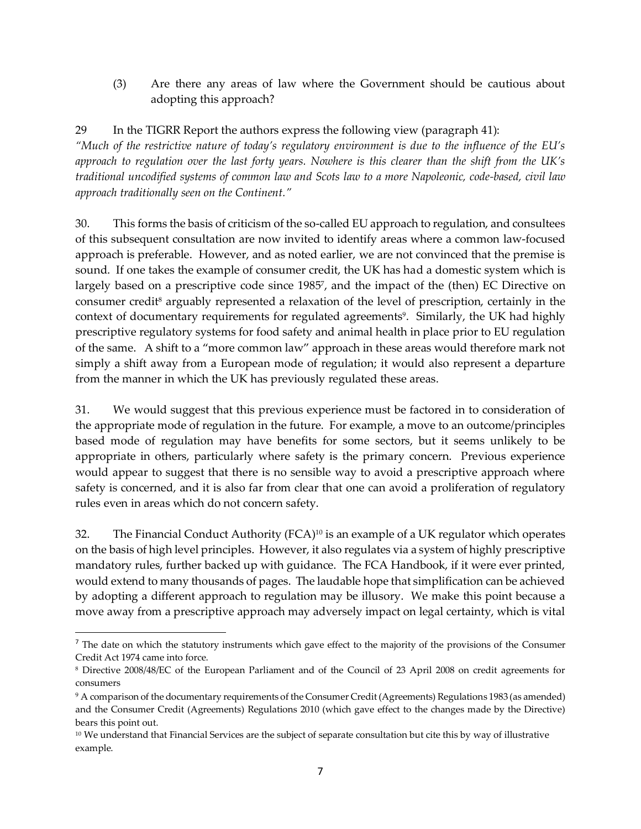(3) Are there any areas of law where the Government should be cautious about adopting this approach?

29 In the TIGRR Report the authors express the following view (paragraph 41): *"Much of the restrictive nature of today's regulatory environment is due to the influence of the EU's approach to regulation over the last forty years. Nowhere is this clearer than the shift from the UK's traditional uncodified systems of common law and Scots law to a more Napoleonic, code-based, civil law approach traditionally seen on the Continent."*

30. This forms the basis of criticism of the so-called EU approach to regulation, and consultees of this subsequent consultation are now invited to identify areas where a common law-focused approach is preferable. However, and as noted earlier, we are not convinced that the premise is sound. If one takes the example of consumer credit, the UK has had a domestic system which is largely based on a prescriptive code since 1985 7 , and the impact of the (then) EC Directive on consumer credit<sup>8</sup> arguably represented a relaxation of the level of prescription, certainly in the context of documentary requirements for regulated agreements<sup>9</sup>. Similarly, the UK had highly prescriptive regulatory systems for food safety and animal health in place prior to EU regulation of the same. A shift to a "more common law" approach in these areas would therefore mark not simply a shift away from a European mode of regulation; it would also represent a departure from the manner in which the UK has previously regulated these areas.

31. We would suggest that this previous experience must be factored in to consideration of the appropriate mode of regulation in the future. For example, a move to an outcome/principles based mode of regulation may have benefits for some sectors, but it seems unlikely to be appropriate in others, particularly where safety is the primary concern. Previous experience would appear to suggest that there is no sensible way to avoid a prescriptive approach where safety is concerned, and it is also far from clear that one can avoid a proliferation of regulatory rules even in areas which do not concern safety.

32. The Financial Conduct Authority (FCA) <sup>10</sup> is an example of a UK regulator which operates on the basis of high level principles. However, it also regulates via a system of highly prescriptive mandatory rules, further backed up with guidance. The FCA Handbook, if it were ever printed, would extend to many thousands of pages. The laudable hope that simplification can be achieved by adopting a different approach to regulation may be illusory. We make this point because a move away from a prescriptive approach may adversely impact on legal certainty, which is vital

 $<sup>7</sup>$  The date on which the statutory instruments which gave effect to the majority of the provisions of the Consumer</sup> Credit Act 1974 came into force.

<sup>8</sup> Directive 2008/48/EC of the European Parliament and of the Council of 23 April 2008 on credit agreements for consumers

<sup>9</sup> A comparison of the documentary requirements of the Consumer Credit (Agreements) Regulations 1983 (as amended) and the Consumer Credit (Agreements) Regulations 2010 (which gave effect to the changes made by the Directive) bears this point out.

 $10$  We understand that Financial Services are the subject of separate consultation but cite this by way of illustrative example.